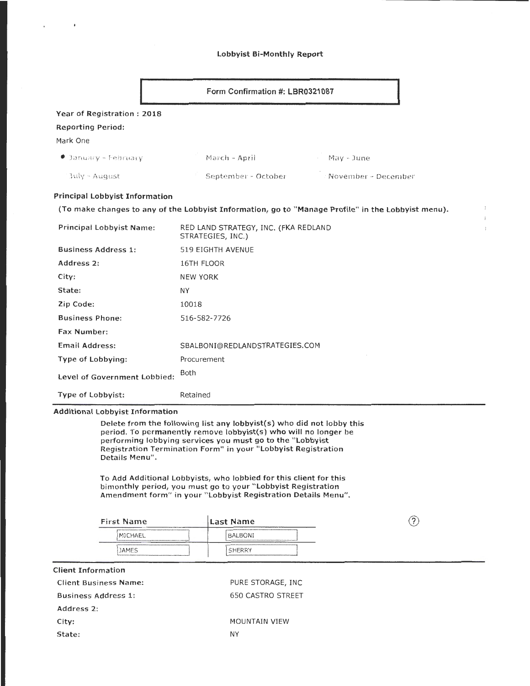#### Lobbyist Bi-Monthly Report

|                                                                                                    | Form Confirmation #: LBR0321087                           |                       |  |  |
|----------------------------------------------------------------------------------------------------|-----------------------------------------------------------|-----------------------|--|--|
| Year of Registration: 2018                                                                         |                                                           |                       |  |  |
| <b>Reporting Period:</b><br>Mark One                                                               |                                                           |                       |  |  |
| $\bullet$ 3anuary – February                                                                       | March - April                                             | - May - June          |  |  |
| $July - August$                                                                                    | September - October                                       | : November - December |  |  |
| <b>Principal Lobbyist Information</b>                                                              |                                                           |                       |  |  |
| (To make changes to any of the Lobbyist Information, go to "Manage Profile" in the Lobbyist menu). |                                                           |                       |  |  |
| Principal Lobbyist Name:                                                                           | RED LAND STRATEGY, INC. (FKA REDLAND<br>STRATEGIES, INC.) |                       |  |  |
| <b>Business Address 1:</b>                                                                         | 519 EIGHTH AVENUE                                         |                       |  |  |
| Address 2:                                                                                         | 16TH FLOOR                                                |                       |  |  |
| City:                                                                                              | <b>NEW YORK</b>                                           |                       |  |  |
| State:                                                                                             | <b>NY</b>                                                 |                       |  |  |
| Zip Code:                                                                                          | 10018                                                     |                       |  |  |
| <b>Business Phone:</b>                                                                             | 516-582-7726                                              |                       |  |  |
| <b>Fax Number:</b>                                                                                 |                                                           |                       |  |  |
| <b>Email Address:</b>                                                                              | SBALBONI@REDLANDSTRATEGIES.COM                            |                       |  |  |
| Type of Lobbying:                                                                                  | Procurement                                               |                       |  |  |
| Level of Government Lobbied:                                                                       | Both                                                      |                       |  |  |
| Type of Lobbyist:                                                                                  | Retained                                                  |                       |  |  |

 $\frac{1}{2}$  $\ddot{i}$ 

### Additional Lobbyist Information

 $\bullet$ 

Delete from the following list any lobbyist(s) who did not lobby this period. To permanently remove lobbyist(s) who will no longer be performing lobbying services you must go to the "Lobbyist Registration Termination Form" in your " Lobbyist Registration Details Menu".

To Add Additional Lobbyists, who lobbied for this client for this bimonthly period, you must go to your "Lobbyist Registration Amendment form" in your "Lobbyist Registration Details Menu".

| <b>First Name</b>                                                                                                                                                                                                                                                                                                                                                                                                                                    | lLast Name<br>___________     |  |
|------------------------------------------------------------------------------------------------------------------------------------------------------------------------------------------------------------------------------------------------------------------------------------------------------------------------------------------------------------------------------------------------------------------------------------------------------|-------------------------------|--|
| ARCHIVES CONTRACTOR OF CONTRACTOR CONTRACTOR CONTRACTOR CONTRACTOR CONTRACTOR (CONTRACTOR)<br>the contract of the contract of the contract of the contract of the contract of the contract of the<br>MICHAEL<br><u> The consequence of the consequence of the consequence and an analyze and the consequence of the consequence of the consequence of the consequence of the consequence of the consequence of the consequence of the consequenc</u> | <b>BALBONI</b>                |  |
| <b>JAMES</b><br>PROPERTY PROTECTED AND EXPLOSIVE CONTRACTOR CONTRACTOR CONTRACTOR AND ACCOUNTABLE CONTRACTOR CONTRACTOR                                                                                                                                                                                                                                                                                                                              | <b>WANNAN ANAMA</b><br>SHERRY |  |

| PURE STORAGE, INC |
|-------------------|
| 650 CASTRO STREET |
|                   |
| MOUNTAIN VIEW     |
|                   |
|                   |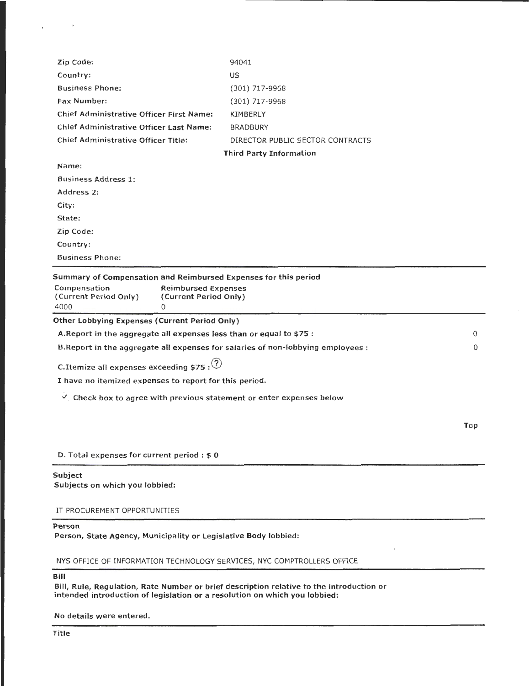| Zip Code:                                                                                                                                                                    | 94041                            |          |
|------------------------------------------------------------------------------------------------------------------------------------------------------------------------------|----------------------------------|----------|
| Country:                                                                                                                                                                     | US                               |          |
| <b>Business Phone:</b>                                                                                                                                                       | $(301)$ 717-9968                 |          |
| <b>Fax Number:</b>                                                                                                                                                           | $(301)$ 717-9968                 |          |
| Chief Administrative Officer First Name:                                                                                                                                     | KIMBERLY                         |          |
| Chief Administrative Officer Last Name:                                                                                                                                      | <b>BRADBURY</b>                  |          |
| <b>Chief Administrative Officer Title:</b>                                                                                                                                   | DIRECTOR PUBLIC SECTOR CONTRACTS |          |
|                                                                                                                                                                              | <b>Third Party Information</b>   |          |
| Name:                                                                                                                                                                        |                                  |          |
| <b>Business Address 1:</b>                                                                                                                                                   |                                  |          |
| Address 2:                                                                                                                                                                   |                                  |          |
| City:                                                                                                                                                                        |                                  |          |
| State:                                                                                                                                                                       |                                  |          |
| Zip Code:                                                                                                                                                                    |                                  |          |
| Country:                                                                                                                                                                     |                                  |          |
| <b>Business Phone:</b>                                                                                                                                                       |                                  |          |
| Summary of Compensation and Reimbursed Expenses for this period<br>Compensation<br><b>Reimbursed Expenses</b><br>(Current Period Only)<br>(Current Period Only)<br>4000<br>0 |                                  |          |
| Other Lobbying Expenses (Current Period Only)                                                                                                                                |                                  |          |
| A. Report in the aggregate all expenses less than or equal to \$75 :                                                                                                         |                                  | 0        |
| B. Report in the aggregate all expenses for salaries of non-lobbying employees :                                                                                             |                                  | $\Omega$ |
| C.Itemize all expenses exceeding \$75 : $(2)$                                                                                                                                |                                  |          |
| I have no itemized expenses to report for this period.                                                                                                                       |                                  |          |
| $\vee$ Check box to agree with previous statement or enter expenses below                                                                                                    |                                  |          |
|                                                                                                                                                                              |                                  | Top      |
| D. Total expenses for current period $: $0$                                                                                                                                  |                                  |          |
| Subject<br>Subjects on which you lobbied:                                                                                                                                    |                                  |          |

IT PROCUREMENT OPPORTUNITIES

# Person

Person, State Agency, Municipality or Legislative Body lobbied:

NYS OFFICE OF INFORMATION TECHNOLOGY SERVICES, NYC COMPTROLLERS OFFICE

Bill

Bill, Rule, Regulation, Rate Number or brief description relative to the introduction or intended introduction of legislation or a resolution on which you lobbied:

No details were entered.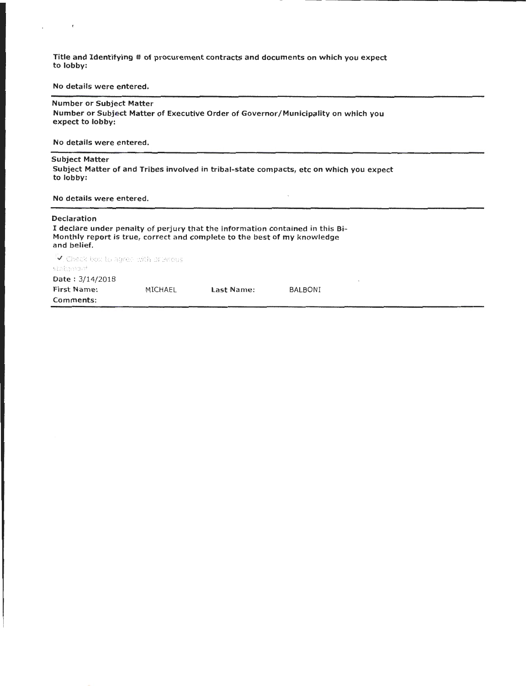Title and Identifying # of procurement contracts and documents on which you expect to lobby:

No details were entered.

#### Number or Subject Matter

Number or Subject Matter of Executive Order of Governor /Municipality on which you expect to lobby:

No details were entered.

#### Subject Matter

 $\pmb{\epsilon}$ 

Subject Matter of and Tribes involved in tribal-state compacts, etc on which you expect to lobby:

No details were entered.

#### Declaration

I declare under penalty of perjury that the information contained in this Bi-Monthly report is true, correct and complete to the best of my knowledge and belief.

.<br>V. Check hox to agree with provious statomart Date : 3/14/2018 First Name: Comments: MICHAEL Last Name: BALBONI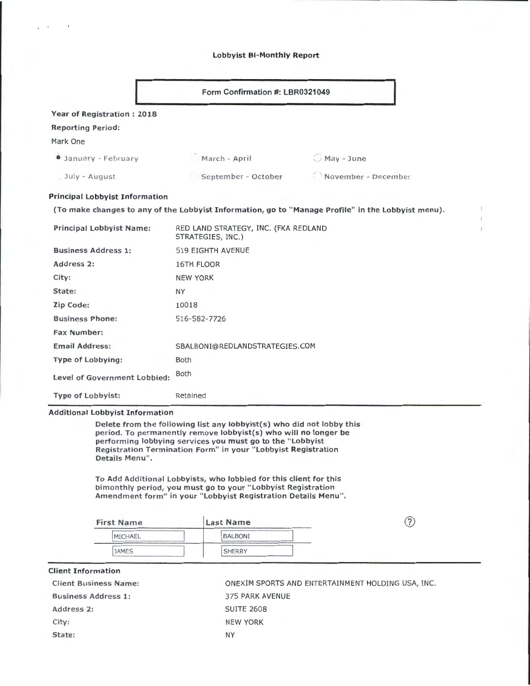### Lobbyist Bi-Monthly Report

|                                       | Form Confirmation #: LBR0321049                           |                                                                                                    |
|---------------------------------------|-----------------------------------------------------------|----------------------------------------------------------------------------------------------------|
| <b>Year of Registration: 2018</b>     |                                                           |                                                                                                    |
| <b>Reporting Period:</b>              |                                                           |                                                                                                    |
| Mark One                              |                                                           |                                                                                                    |
| <b>Canuary - February</b>             | March - April                                             | $O$ May - June                                                                                     |
| July - August                         | September - October                                       | $\bigcirc$ November - December                                                                     |
| <b>Principal Lobbyist Information</b> |                                                           |                                                                                                    |
|                                       |                                                           | (To make changes to any of the Lobbyist Information, go to "Manage Profile" in the Lobbyist menu). |
| <b>Principal Lobbyist Name:</b>       | RED LAND STRATEGY, INC. (FKA REDLAND<br>STRATEGIES, INC.) |                                                                                                    |
| <b>Business Address 1:</b>            | <b>519 EIGHTH AVENUE</b>                                  |                                                                                                    |
| Address 2:                            | 16TH FLOOR                                                |                                                                                                    |
| City:                                 | <b>NEW YORK</b>                                           |                                                                                                    |
| State:                                | <b>NY</b>                                                 |                                                                                                    |
| Zip Code:                             | 10018                                                     |                                                                                                    |
| <b>Business Phone:</b>                | 516-582-7726                                              |                                                                                                    |
| <b>Fax Number:</b>                    |                                                           |                                                                                                    |
| <b>Email Address:</b>                 | SBALBONI@REDLANDSTRATEGIES.COM                            |                                                                                                    |
| <b>Type of Lobbying:</b>              | <b>Both</b>                                               |                                                                                                    |
| Level of Government Lobbied:          | Both                                                      |                                                                                                    |
| <b>Type of Lobbyist:</b>              | Retained                                                  |                                                                                                    |

 $\mathbf{I}$  $\ddot{z}$  $\mathfrak l$ 

period. To permanently remove lobbyist(s) who will no longer be performing lobbying services you must go to the "Lobbyist Registration Termination Form" in your " Lobbyist Registration Details Menu".

To Add Additional Lobbyists, who lobbied for this client for this bimonthly period, you must go to your "Lobbyist Registration Amendment form" in your "Lobbyist Registration Details Menu".

| <b>First Name</b>                                                                                                                                                                                                                                | <b>Last Name</b> | m |
|--------------------------------------------------------------------------------------------------------------------------------------------------------------------------------------------------------------------------------------------------|------------------|---|
| A 4 YO CHEVROLET A CALLARY AND A 4 YO F AND A CALLARY AND A CALLARY AND A CALLARY THE CONTRACT OF A 4 YO CHEVROLET AND A 4 YO CHEVROLET AND A 4 YO CHEVROLET A CALLARY AND A 4 YO CHEVROLET AND A 4 YO CHEVROLET AND A 4 YO CH<br><b>MICHAEL</b> | <b>BALBONI</b>   |   |
| <b>JAMES</b>                                                                                                                                                                                                                                     | <b>SHERRY</b>    |   |

| <b>Client Information</b> |  |  |
|---------------------------|--|--|
|---------------------------|--|--|

 $\epsilon$ 

 $\mathbf{r}$ 

| <b>Client Business Name:</b> | ONEXIM SPORTS AND ENTERTAINMENT HOLDING USA, INC. |
|------------------------------|---------------------------------------------------|
| <b>Business Address 1:</b>   | 375 PARK AVENUE                                   |
| Address 2:                   | <b>SUITE 2608</b>                                 |
| City:                        | <b>NEW YORK</b>                                   |
| State:                       | NY                                                |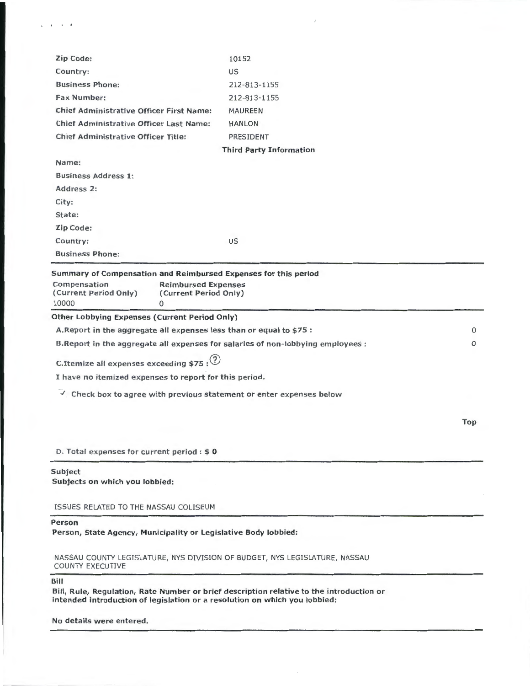| Zip Code:                                                                        | 10152                          |          |
|----------------------------------------------------------------------------------|--------------------------------|----------|
| Country:                                                                         | US                             |          |
| <b>Business Phone:</b>                                                           | 212-813-1155                   |          |
| <b>Fax Number:</b>                                                               | 212-813-1155                   |          |
| <b>Chief Administrative Officer First Name:</b>                                  | <b>MAUREEN</b>                 |          |
| <b>Chief Administrative Officer Last Name:</b>                                   | <b>HANLON</b>                  |          |
| <b>Chief Administrative Officer Title:</b>                                       | PRESIDENT                      |          |
|                                                                                  | <b>Third Party Information</b> |          |
| Name:                                                                            |                                |          |
| <b>Business Address 1:</b>                                                       |                                |          |
| Address <sub>2</sub> :                                                           |                                |          |
| City:                                                                            |                                |          |
| State:                                                                           |                                |          |
| Zip Code:                                                                        |                                |          |
| Country:                                                                         | US                             |          |
| <b>Business Phone:</b>                                                           |                                |          |
| 10000<br>$\Omega$                                                                |                                |          |
| <b>Other Lobbying Expenses (Current Period Only)</b>                             |                                |          |
| A. Report in the aggregate all expenses less than or equal to \$75 :             |                                | 0        |
| B. Report in the aggregate all expenses for salaries of non-lobbying employees : |                                | $\Omega$ |
| C. Itemize all expenses exceeding \$75 : $\left($ 2)                             |                                |          |
| I have no itemized expenses to report for this period.                           |                                |          |
| $\vee$ Check box to agree with previous statement or enter expenses below        |                                |          |
|                                                                                  |                                | Top      |
|                                                                                  |                                |          |
| D. Total expenses for current period : \$0                                       |                                |          |
| Subject<br>Subjects on which you lobbied:                                        |                                |          |
|                                                                                  |                                |          |
| ISSUES RELATED TO THE NASSAU COLISEUM                                            |                                |          |
| Person<br>Person, State Agency, Municipality or Legislative Body lobbied:        |                                |          |

 $\bar{J}$ 

NASSAU COUNTY LEGISLATURE, NYS DIVISION OF BUDGET, NYS LEGISLATURE, NASSAU COUNTY EXECUTIVE

Bill

 $\zeta$  .  $\zeta$  :  $\zeta$  .  $\zeta$ 

Bill, Rule, Regulation, Rate Number or brief description relative to the introduction or intended introduction of legislation or a resolution on which you lobbied:

No details were entered.